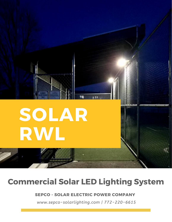

## **Commercial Solar LED Lighting System**

#### **SEPCO - SOLAR ELECTRIC POWER COMPANY**

*www.sepco-solarlighting.com | 772-220-6615*